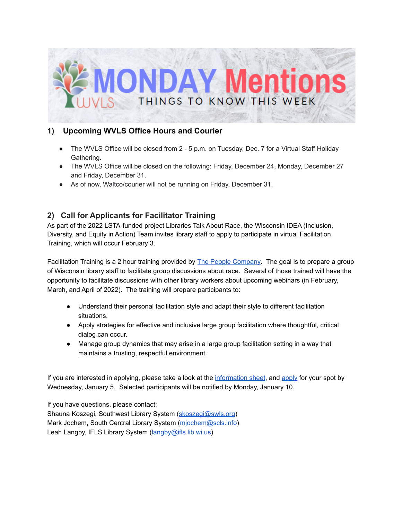

## **1) Upcoming WVLS Office Hours and Courier**

- The WVLS Office will be closed from 2 5 p.m. on Tuesday, Dec. 7 for a Virtual Staff Holiday Gathering.
- The WVLS Office will be closed on the following: Friday, December 24, Monday, December 27 and Friday, December 31.
- As of now, Waltco/courier will not be running on Friday, December 31.

# **2) Call for Applicants for Facilitator Training**

As part of the 2022 LSTA-funded project Libraries Talk About Race, the Wisconsin IDEA (Inclusion, Diversity, and Equity in Action) Team invites library staff to apply to participate in virtual Facilitation Training, which will occur February 3.

Facilitation Training is a 2 hour training provided by The People [Company](https://secure-web.cisco.com/1EaTAf7ZDuUHEtGXk0191fqikqgsRHubxhohVH062CwC4xje_iebnIrUFWepdhdNluUU5-sEEUxgvXqw11oLQKqtdmxA1XhmMT90t9ru6BIljpVhl5MPDDt6g8em-mgjf84IqBf7mfyVZ2U1JBQxT42GB-qbvLJ7itXNQLe1Pim4_MKXNx5xxhzGGGGk-fRMyWpdWsD41PXAXqs247sne2Rlk8Vxai18FVQwHywLNrWbudObt1TkDw8t5G1AhY9SL_51ox8nOyrsqe2LFGKRDr_D_eBquajJskDERpoAefN60WupHJVyoYqbmXEYtaWOh/https%3A%2F%2Fppl-co.com%2F). The goal is to prepare a group of Wisconsin library staff to facilitate group discussions about race. Several of those trained will have the opportunity to facilitate discussions with other library workers about upcoming webinars (in February, March, and April of 2022). The training will prepare participants to:

- Understand their personal facilitation style and adapt their style to different facilitation situations.
- Apply strategies for effective and inclusive large group facilitation where thoughtful, critical dialog can occur.
- Manage group dynamics that may arise in a large group facilitation setting in a way that maintains a trusting, respectful environment.

If you are interested in applying, please take a look at the [information](https://docs.google.com/document/d/1QDFjWrkkqMuhb38XDg3Wngb2nTMWaGwP9oAto8N8fBY/edit) sheet, and [apply](https://docs.google.com/forms/d/e/1FAIpQLSfRtkPnYDz_LS0gwcVNYnJZ5DlTJyOvYoZwfY5YQ-6r4keb7A/viewform) for your spot by Wednesday, January 5. Selected participants will be notified by Monday, January 10.

If you have questions, please contact: Shauna Koszegi, Southwest Library System ([skoszegi@swls.org](mailto:skoszegi@swls.org)) Mark Jochem, South Central Library System (mjochem@scls.info) Leah Langby, IFLS Library System (langby@ifls.lib.wi.us)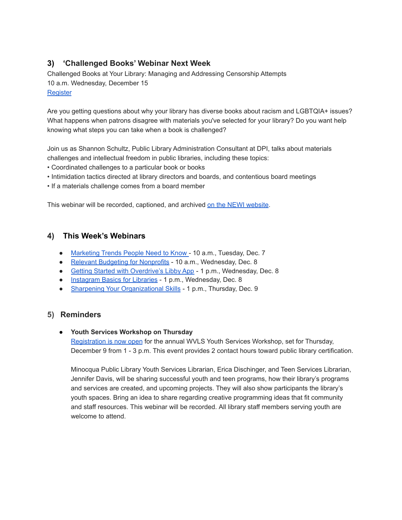# **3) 'Challenged Books' Webinar Next Week**

Challenged Books at Your Library: Managing and Addressing Censorship Attempts 10 a.m. Wednesday, December 15 **[Register](https://us02web.zoom.us/webinar/register/WN_8zD-8HMXRUKIDAuD1PF9Hw)** 

Are you getting questions about why your library has diverse books about racism and LGBTQIA+ issues? What happens when patrons disagree with materials you've selected for your library? Do you want help knowing what steps you can take when a book is challenged?

Join us as Shannon Schultz, Public Library Administration Consultant at DPI, talks about materials challenges and intellectual freedom in public libraries, including these topics:

- Coordinated challenges to a particular book or books
- Intimidation tactics directed at library directors and boards, and contentious board meetings
- If a materials challenge comes from a board member

This webinar will be recorded, captioned, and archived on the NEWI [website](https://newilibraries.org/past-events).

### **4) This Week's Webinars**

- [Marketing](https://firespring.com/webinars/marketing-trends-nonprofits-need-to-know-and-embrace/) Trends People Need to Know 10 a.m., Tuesday, Dec. 7
- Relevant Budgeting for [Nonprofits](https://nonprofithub.org/webinar/relevant-and-relational-budgeting-for-nonprofits/) 10 a.m., Wednesday, Dec. 8
- Getting Started with [Overdrive's](https://overdrive.zoom.us/webinar/register/WN_P80ZIHLdRaGhi3cdKSRDsw?timezone_id=America%2FChicago) Libby App 1 p.m., Wednesday, Dec. 8
- [Instagram](https://www.nicheacademy.com/instagram-basics-for-libraries) Basics for Libraries 1 p.m., Wednesday, Dec. 8
- Sharpening Your [Organizational](https://netforumpro.com/eweb/DynamicPage.aspx?Site=SEFLIN&WebCode=EventDetail&evt_key=86a536d8-0dbd-4fae-9e9c-0fbc96d5c909) Skills 1 p.m., Thursday, Dec. 9

### **5) Reminders**

#### ● **Youth Services Workshop on Thursday**

[Registration](https://register.gotowebinar.com/register/1079470149049581067?fbclid=IwAR0kuuAT3L3O7hKfD7F7qFvcvjxwAOIDBugV1cVxwzDnjOWRkf1Y_BuCW5M) is now open for the annual WVLS Youth Services Workshop, set for Thursday, December 9 from 1 - 3 p.m. This event provides 2 contact hours toward public library certification.

Minocqua Public Library Youth Services Librarian, Erica Dischinger, and Teen Services Librarian, Jennifer Davis, will be sharing successful youth and teen programs, how their library's programs and services are created, and upcoming projects. They will also show participants the library's youth spaces. Bring an idea to share regarding creative programming ideas that fit community and staff resources. This webinar will be recorded. All library staff members serving youth are welcome to attend.